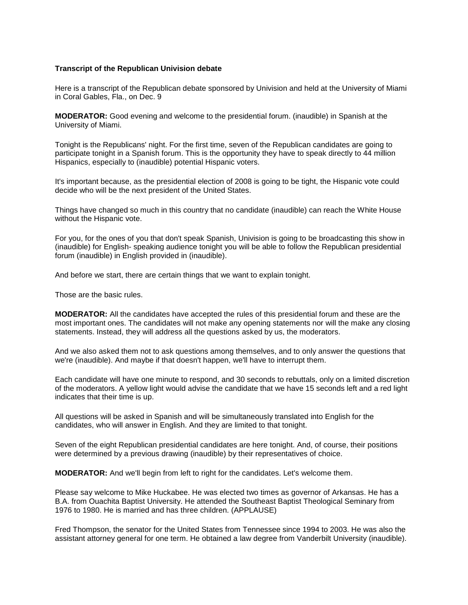# **Transcript of the Republican Univision debate**

Here is a transcript of the Republican debate sponsored by Univision and held at the University of Miami in Coral Gables, Fla., on Dec. 9

**MODERATOR:** Good evening and welcome to the presidential forum. (inaudible) in Spanish at the University of Miami.

Tonight is the Republicans' night. For the first time, seven of the Republican candidates are going to participate tonight in a Spanish forum. This is the opportunity they have to speak directly to 44 million Hispanics, especially to (inaudible) potential Hispanic voters.

It's important because, as the presidential election of 2008 is going to be tight, the Hispanic vote could decide who will be the next president of the United States.

Things have changed so much in this country that no candidate (inaudible) can reach the White House without the Hispanic vote.

For you, for the ones of you that don't speak Spanish, Univision is going to be broadcasting this show in (inaudible) for English- speaking audience tonight you will be able to follow the Republican presidential forum (inaudible) in English provided in (inaudible).

And before we start, there are certain things that we want to explain tonight.

Those are the basic rules.

**MODERATOR:** All the candidates have accepted the rules of this presidential forum and these are the most important ones. The candidates will not make any opening statements nor will the make any closing statements. Instead, they will address all the questions asked by us, the moderators.

And we also asked them not to ask questions among themselves, and to only answer the questions that we're (inaudible). And maybe if that doesn't happen, we'll have to interrupt them.

Each candidate will have one minute to respond, and 30 seconds to rebuttals, only on a limited discretion of the moderators. A yellow light would advise the candidate that we have 15 seconds left and a red light indicates that their time is up.

All questions will be asked in Spanish and will be simultaneously translated into English for the candidates, who will answer in English. And they are limited to that tonight.

Seven of the eight Republican presidential candidates are here tonight. And, of course, their positions were determined by a previous drawing (inaudible) by their representatives of choice.

**MODERATOR:** And we'll begin from left to right for the candidates. Let's welcome them.

Please say welcome to Mike Huckabee. He was elected two times as governor of Arkansas. He has a B.A. from Ouachita Baptist University. He attended the Southeast Baptist Theological Seminary from 1976 to 1980. He is married and has three children. (APPLAUSE)

Fred Thompson, the senator for the United States from Tennessee since 1994 to 2003. He was also the assistant attorney general for one term. He obtained a law degree from Vanderbilt University (inaudible).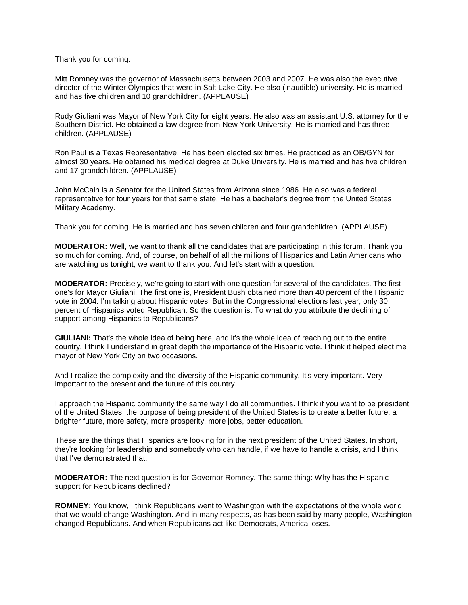Thank you for coming.

Mitt Romney was the governor of Massachusetts between 2003 and 2007. He was also the executive director of the Winter Olympics that were in Salt Lake City. He also (inaudible) university. He is married and has five children and 10 grandchildren. (APPLAUSE)

Rudy Giuliani was Mayor of New York City for eight years. He also was an assistant U.S. attorney for the Southern District. He obtained a law degree from New York University. He is married and has three children. (APPLAUSE)

Ron Paul is a Texas Representative. He has been elected six times. He practiced as an OB/GYN for almost 30 years. He obtained his medical degree at Duke University. He is married and has five children and 17 grandchildren. (APPLAUSE)

John McCain is a Senator for the United States from Arizona since 1986. He also was a federal representative for four years for that same state. He has a bachelor's degree from the United States Military Academy.

Thank you for coming. He is married and has seven children and four grandchildren. (APPLAUSE)

**MODERATOR:** Well, we want to thank all the candidates that are participating in this forum. Thank you so much for coming. And, of course, on behalf of all the millions of Hispanics and Latin Americans who are watching us tonight, we want to thank you. And let's start with a question.

**MODERATOR:** Precisely, we're going to start with one question for several of the candidates. The first one's for Mayor Giuliani. The first one is, President Bush obtained more than 40 percent of the Hispanic vote in 2004. I'm talking about Hispanic votes. But in the Congressional elections last year, only 30 percent of Hispanics voted Republican. So the question is: To what do you attribute the declining of support among Hispanics to Republicans?

**GIULIANI:** That's the whole idea of being here, and it's the whole idea of reaching out to the entire country. I think I understand in great depth the importance of the Hispanic vote. I think it helped elect me mayor of New York City on two occasions.

And I realize the complexity and the diversity of the Hispanic community. It's very important. Very important to the present and the future of this country.

I approach the Hispanic community the same way I do all communities. I think if you want to be president of the United States, the purpose of being president of the United States is to create a better future, a brighter future, more safety, more prosperity, more jobs, better education.

These are the things that Hispanics are looking for in the next president of the United States. In short, they're looking for leadership and somebody who can handle, if we have to handle a crisis, and I think that I've demonstrated that.

**MODERATOR:** The next question is for Governor Romney. The same thing: Why has the Hispanic support for Republicans declined?

**ROMNEY:** You know, I think Republicans went to Washington with the expectations of the whole world that we would change Washington. And in many respects, as has been said by many people, Washington changed Republicans. And when Republicans act like Democrats, America loses.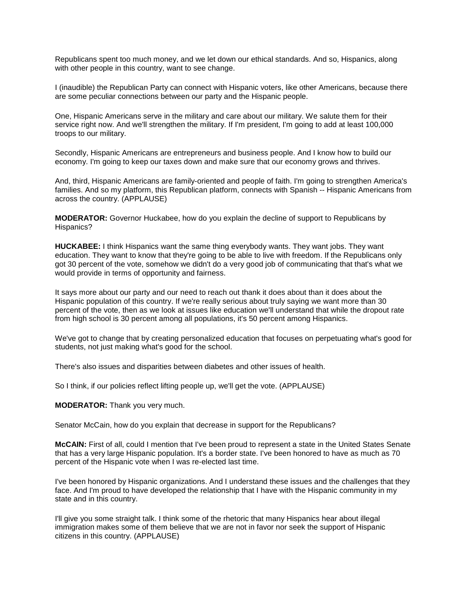Republicans spent too much money, and we let down our ethical standards. And so, Hispanics, along with other people in this country, want to see change.

I (inaudible) the Republican Party can connect with Hispanic voters, like other Americans, because there are some peculiar connections between our party and the Hispanic people.

One, Hispanic Americans serve in the military and care about our military. We salute them for their service right now. And we'll strengthen the military. If I'm president, I'm going to add at least 100,000 troops to our military.

Secondly, Hispanic Americans are entrepreneurs and business people. And I know how to build our economy. I'm going to keep our taxes down and make sure that our economy grows and thrives.

And, third, Hispanic Americans are family-oriented and people of faith. I'm going to strengthen America's families. And so my platform, this Republican platform, connects with Spanish -- Hispanic Americans from across the country. (APPLAUSE)

**MODERATOR:** Governor Huckabee, how do you explain the decline of support to Republicans by Hispanics?

**HUCKABEE:** I think Hispanics want the same thing everybody wants. They want jobs. They want education. They want to know that they're going to be able to live with freedom. If the Republicans only got 30 percent of the vote, somehow we didn't do a very good job of communicating that that's what we would provide in terms of opportunity and fairness.

It says more about our party and our need to reach out thank it does about than it does about the Hispanic population of this country. If we're really serious about truly saying we want more than 30 percent of the vote, then as we look at issues like education we'll understand that while the dropout rate from high school is 30 percent among all populations, it's 50 percent among Hispanics.

We've got to change that by creating personalized education that focuses on perpetuating what's good for students, not just making what's good for the school.

There's also issues and disparities between diabetes and other issues of health.

So I think, if our policies reflect lifting people up, we'll get the vote. (APPLAUSE)

**MODERATOR:** Thank you very much.

Senator McCain, how do you explain that decrease in support for the Republicans?

**McCAIN:** First of all, could I mention that I've been proud to represent a state in the United States Senate that has a very large Hispanic population. It's a border state. I've been honored to have as much as 70 percent of the Hispanic vote when I was re-elected last time.

I've been honored by Hispanic organizations. And I understand these issues and the challenges that they face. And I'm proud to have developed the relationship that I have with the Hispanic community in my state and in this country.

I'll give you some straight talk. I think some of the rhetoric that many Hispanics hear about illegal immigration makes some of them believe that we are not in favor nor seek the support of Hispanic citizens in this country. (APPLAUSE)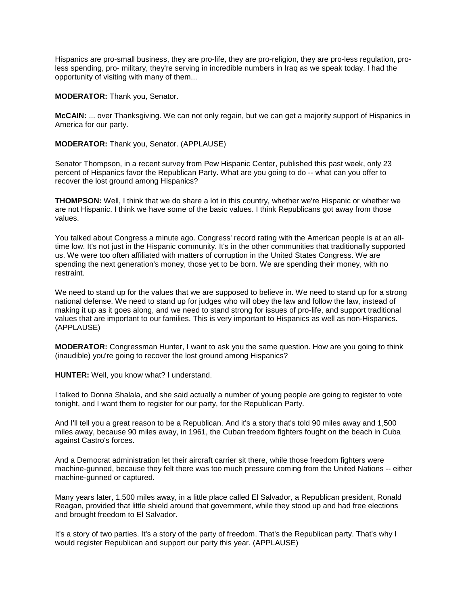Hispanics are pro-small business, they are pro-life, they are pro-religion, they are pro-less regulation, proless spending, pro- military, they're serving in incredible numbers in Iraq as we speak today. I had the opportunity of visiting with many of them...

**MODERATOR:** Thank you, Senator.

**McCAIN:** ... over Thanksgiving. We can not only regain, but we can get a majority support of Hispanics in America for our party.

**MODERATOR:** Thank you, Senator. (APPLAUSE)

Senator Thompson, in a recent survey from Pew Hispanic Center, published this past week, only 23 percent of Hispanics favor the Republican Party. What are you going to do -- what can you offer to recover the lost ground among Hispanics?

**THOMPSON:** Well, I think that we do share a lot in this country, whether we're Hispanic or whether we are not Hispanic. I think we have some of the basic values. I think Republicans got away from those values.

You talked about Congress a minute ago. Congress' record rating with the American people is at an alltime low. It's not just in the Hispanic community. It's in the other communities that traditionally supported us. We were too often affiliated with matters of corruption in the United States Congress. We are spending the next generation's money, those yet to be born. We are spending their money, with no restraint.

We need to stand up for the values that we are supposed to believe in. We need to stand up for a strong national defense. We need to stand up for judges who will obey the law and follow the law, instead of making it up as it goes along, and we need to stand strong for issues of pro-life, and support traditional values that are important to our families. This is very important to Hispanics as well as non-Hispanics. (APPLAUSE)

**MODERATOR:** Congressman Hunter, I want to ask you the same question. How are you going to think (inaudible) you're going to recover the lost ground among Hispanics?

**HUNTER:** Well, you know what? I understand.

I talked to Donna Shalala, and she said actually a number of young people are going to register to vote tonight, and I want them to register for our party, for the Republican Party.

And I'll tell you a great reason to be a Republican. And it's a story that's told 90 miles away and 1,500 miles away, because 90 miles away, in 1961, the Cuban freedom fighters fought on the beach in Cuba against Castro's forces.

And a Democrat administration let their aircraft carrier sit there, while those freedom fighters were machine-gunned, because they felt there was too much pressure coming from the United Nations -- either machine-gunned or captured.

Many years later, 1,500 miles away, in a little place called El Salvador, a Republican president, Ronald Reagan, provided that little shield around that government, while they stood up and had free elections and brought freedom to El Salvador.

It's a story of two parties. It's a story of the party of freedom. That's the Republican party. That's why I would register Republican and support our party this year. (APPLAUSE)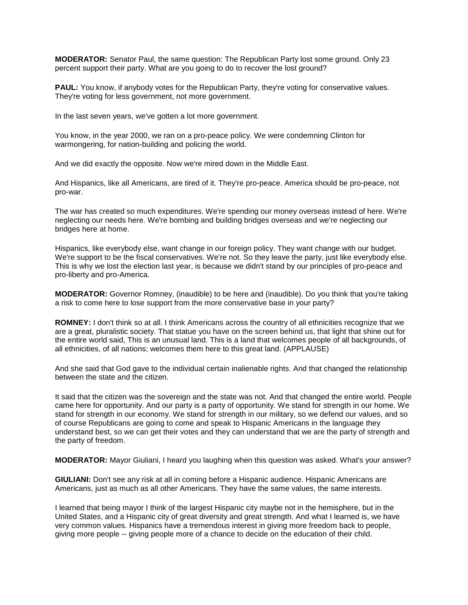**MODERATOR:** Senator Paul, the same question: The Republican Party lost some ground. Only 23 percent support their party. What are you going to do to recover the lost ground?

**PAUL:** You know, if anybody votes for the Republican Party, they're voting for conservative values. They're voting for less government, not more government.

In the last seven years, we've gotten a lot more government.

You know, in the year 2000, we ran on a pro-peace policy. We were condemning Clinton for warmongering, for nation-building and policing the world.

And we did exactly the opposite. Now we're mired down in the Middle East.

And Hispanics, like all Americans, are tired of it. They're pro-peace. America should be pro-peace, not pro-war.

The war has created so much expenditures. We're spending our money overseas instead of here. We're neglecting our needs here. We're bombing and building bridges overseas and we're neglecting our bridges here at home.

Hispanics, like everybody else, want change in our foreign policy. They want change with our budget. We're support to be the fiscal conservatives. We're not. So they leave the party, just like everybody else. This is why we lost the election last year, is because we didn't stand by our principles of pro-peace and pro-liberty and pro-America.

**MODERATOR:** Governor Romney, (inaudible) to be here and (inaudible). Do you think that you're taking a risk to come here to lose support from the more conservative base in your party?

**ROMNEY:** I don't think so at all. I think Americans across the country of all ethnicities recognize that we are a great, pluralistic society. That statue you have on the screen behind us, that light that shine out for the entire world said, This is an unusual land. This is a land that welcomes people of all backgrounds, of all ethnicities, of all nations; welcomes them here to this great land. (APPLAUSE)

And she said that God gave to the individual certain inalienable rights. And that changed the relationship between the state and the citizen.

It said that the citizen was the sovereign and the state was not. And that changed the entire world. People came here for opportunity. And our party is a party of opportunity. We stand for strength in our home. We stand for strength in our economy. We stand for strength in our military, so we defend our values, and so of course Republicans are going to come and speak to Hispanic Americans in the language they understand best, so we can get their votes and they can understand that we are the party of strength and the party of freedom.

**MODERATOR:** Mayor Giuliani, I heard you laughing when this question was asked. What's your answer?

**GIULIANI:** Don't see any risk at all in coming before a Hispanic audience. Hispanic Americans are Americans, just as much as all other Americans. They have the same values, the same interests.

I learned that being mayor I think of the largest Hispanic city maybe not in the hemisphere, but in the United States, and a Hispanic city of great diversity and great strength. And what I learned is, we have very common values. Hispanics have a tremendous interest in giving more freedom back to people, giving more people -- giving people more of a chance to decide on the education of their child.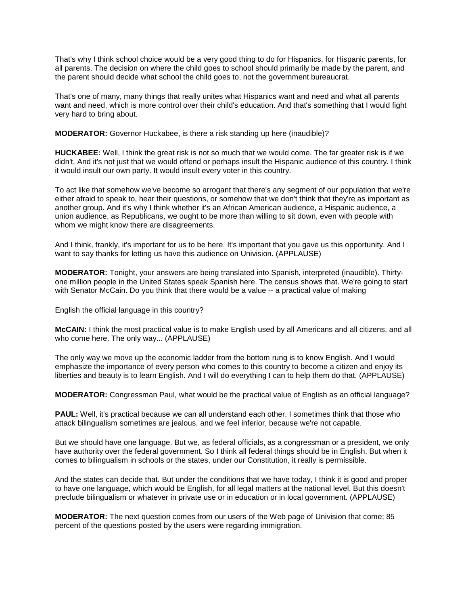That's why I think school choice would be a very good thing to do for Hispanics, for Hispanic parents, for all parents. The decision on where the child goes to school should primarily be made by the parent, and the parent should decide what school the child goes to, not the government bureaucrat.

That's one of many, many things that really unites what Hispanics want and need and what all parents want and need, which is more control over their child's education. And that's something that I would fight very hard to bring about.

**MODERATOR:** Governor Huckabee, is there a risk standing up here (inaudible)?

**HUCKABEE:** Well, I think the great risk is not so much that we would come. The far greater risk is if we didn't. And it's not just that we would offend or perhaps insult the Hispanic audience of this country. I think it would insult our own party. It would insult every voter in this country.

To act like that somehow we've become so arrogant that there's any segment of our population that we're either afraid to speak to, hear their questions, or somehow that we don't think that they're as important as another group. And it's why I think whether it's an African American audience, a Hispanic audience, a union audience, as Republicans, we ought to be more than willing to sit down, even with people with whom we might know there are disagreements.

And I think, frankly, it's important for us to be here. It's important that you gave us this opportunity. And I want to say thanks for letting us have this audience on Univision. (APPLAUSE)

**MODERATOR:** Tonight, your answers are being translated into Spanish, interpreted (inaudible). Thirtyone million people in the United States speak Spanish here. The census shows that. We're going to start with Senator McCain. Do you think that there would be a value -- a practical value of making

English the official language in this country?

**McCAIN:** I think the most practical value is to make English used by all Americans and all citizens, and all who come here. The only way... (APPLAUSE)

The only way we move up the economic ladder from the bottom rung is to know English. And I would emphasize the importance of every person who comes to this country to become a citizen and enjoy its liberties and beauty is to learn English. And I will do everything I can to help them do that. (APPLAUSE)

**MODERATOR:** Congressman Paul, what would be the practical value of English as an official language?

**PAUL:** Well, it's practical because we can all understand each other. I sometimes think that those who attack bilingualism sometimes are jealous, and we feel inferior, because we're not capable.

But we should have one language. But we, as federal officials, as a congressman or a president, we only have authority over the federal government. So I think all federal things should be in English. But when it comes to bilingualism in schools or the states, under our Constitution, it really is permissible.

And the states can decide that. But under the conditions that we have today, I think it is good and proper to have one language, which would be English, for all legal matters at the national level. But this doesn't preclude bilingualism or whatever in private use or in education or in local government. (APPLAUSE)

**MODERATOR:** The next question comes from our users of the Web page of Univision that come; 85 percent of the questions posted by the users were regarding immigration.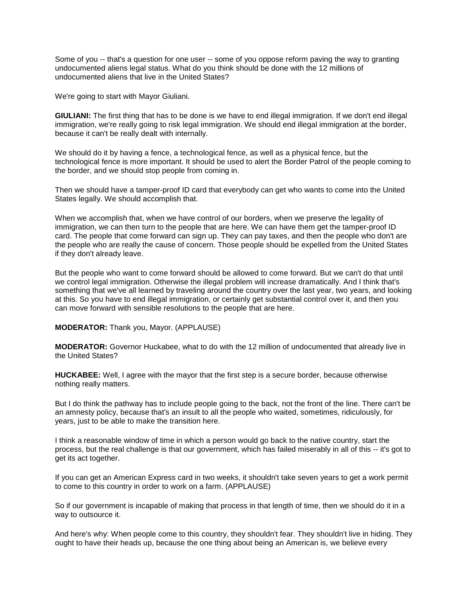Some of you -- that's a question for one user -- some of you oppose reform paving the way to granting undocumented aliens legal status. What do you think should be done with the 12 millions of undocumented aliens that live in the United States?

We're going to start with Mayor Giuliani.

**GIULIANI:** The first thing that has to be done is we have to end illegal immigration. If we don't end illegal immigration, we're really going to risk legal immigration. We should end illegal immigration at the border, because it can't be really dealt with internally.

We should do it by having a fence, a technological fence, as well as a physical fence, but the technological fence is more important. It should be used to alert the Border Patrol of the people coming to the border, and we should stop people from coming in.

Then we should have a tamper-proof ID card that everybody can get who wants to come into the United States legally. We should accomplish that.

When we accomplish that, when we have control of our borders, when we preserve the legality of immigration, we can then turn to the people that are here. We can have them get the tamper-proof ID card. The people that come forward can sign up. They can pay taxes, and then the people who don't are the people who are really the cause of concern. Those people should be expelled from the United States if they don't already leave.

But the people who want to come forward should be allowed to come forward. But we can't do that until we control legal immigration. Otherwise the illegal problem will increase dramatically. And I think that's something that we've all learned by traveling around the country over the last year, two years, and looking at this. So you have to end illegal immigration, or certainly get substantial control over it, and then you can move forward with sensible resolutions to the people that are here.

**MODERATOR:** Thank you, Mayor. (APPLAUSE)

**MODERATOR:** Governor Huckabee, what to do with the 12 million of undocumented that already live in the United States?

**HUCKABEE:** Well, I agree with the mayor that the first step is a secure border, because otherwise nothing really matters.

But I do think the pathway has to include people going to the back, not the front of the line. There can't be an amnesty policy, because that's an insult to all the people who waited, sometimes, ridiculously, for years, just to be able to make the transition here.

I think a reasonable window of time in which a person would go back to the native country, start the process, but the real challenge is that our government, which has failed miserably in all of this -- it's got to get its act together.

If you can get an American Express card in two weeks, it shouldn't take seven years to get a work permit to come to this country in order to work on a farm. (APPLAUSE)

So if our government is incapable of making that process in that length of time, then we should do it in a way to outsource it.

And here's why: When people come to this country, they shouldn't fear. They shouldn't live in hiding. They ought to have their heads up, because the one thing about being an American is, we believe every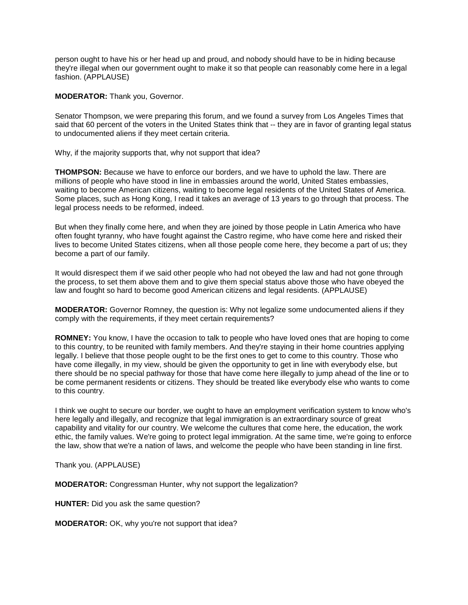person ought to have his or her head up and proud, and nobody should have to be in hiding because they're illegal when our government ought to make it so that people can reasonably come here in a legal fashion. (APPLAUSE)

**MODERATOR:** Thank you, Governor.

Senator Thompson, we were preparing this forum, and we found a survey from Los Angeles Times that said that 60 percent of the voters in the United States think that -- they are in favor of granting legal status to undocumented aliens if they meet certain criteria.

Why, if the majority supports that, why not support that idea?

**THOMPSON:** Because we have to enforce our borders, and we have to uphold the law. There are millions of people who have stood in line in embassies around the world, United States embassies, waiting to become American citizens, waiting to become legal residents of the United States of America. Some places, such as Hong Kong, I read it takes an average of 13 years to go through that process. The legal process needs to be reformed, indeed.

But when they finally come here, and when they are joined by those people in Latin America who have often fought tyranny, who have fought against the Castro regime, who have come here and risked their lives to become United States citizens, when all those people come here, they become a part of us; they become a part of our family.

It would disrespect them if we said other people who had not obeyed the law and had not gone through the process, to set them above them and to give them special status above those who have obeyed the law and fought so hard to become good American citizens and legal residents. (APPLAUSE)

**MODERATOR:** Governor Romney, the question is: Why not legalize some undocumented aliens if they comply with the requirements, if they meet certain requirements?

**ROMNEY:** You know, I have the occasion to talk to people who have loved ones that are hoping to come to this country, to be reunited with family members. And they're staying in their home countries applying legally. I believe that those people ought to be the first ones to get to come to this country. Those who have come illegally, in my view, should be given the opportunity to get in line with everybody else, but there should be no special pathway for those that have come here illegally to jump ahead of the line or to be come permanent residents or citizens. They should be treated like everybody else who wants to come to this country.

I think we ought to secure our border, we ought to have an employment verification system to know who's here legally and illegally, and recognize that legal immigration is an extraordinary source of great capability and vitality for our country. We welcome the cultures that come here, the education, the work ethic, the family values. We're going to protect legal immigration. At the same time, we're going to enforce the law, show that we're a nation of laws, and welcome the people who have been standing in line first.

Thank you. (APPLAUSE)

**MODERATOR:** Congressman Hunter, why not support the legalization?

**HUNTER:** Did you ask the same question?

**MODERATOR:** OK, why you're not support that idea?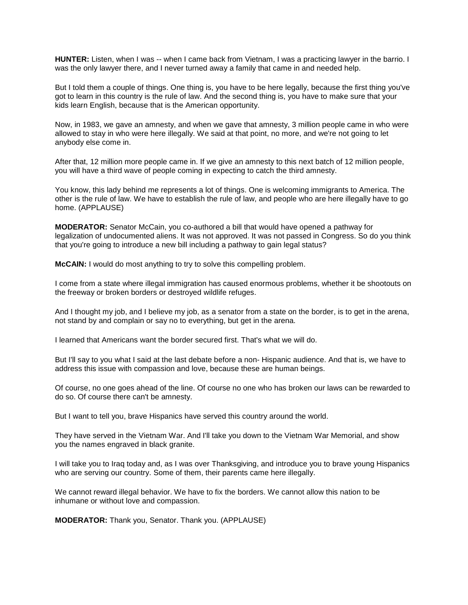**HUNTER:** Listen, when I was -- when I came back from Vietnam, I was a practicing lawyer in the barrio. I was the only lawyer there, and I never turned away a family that came in and needed help.

But I told them a couple of things. One thing is, you have to be here legally, because the first thing you've got to learn in this country is the rule of law. And the second thing is, you have to make sure that your kids learn English, because that is the American opportunity.

Now, in 1983, we gave an amnesty, and when we gave that amnesty, 3 million people came in who were allowed to stay in who were here illegally. We said at that point, no more, and we're not going to let anybody else come in.

After that, 12 million more people came in. If we give an amnesty to this next batch of 12 million people, you will have a third wave of people coming in expecting to catch the third amnesty.

You know, this lady behind me represents a lot of things. One is welcoming immigrants to America. The other is the rule of law. We have to establish the rule of law, and people who are here illegally have to go home. (APPLAUSE)

**MODERATOR:** Senator McCain, you co-authored a bill that would have opened a pathway for legalization of undocumented aliens. It was not approved. It was not passed in Congress. So do you think that you're going to introduce a new bill including a pathway to gain legal status?

**McCAIN:** I would do most anything to try to solve this compelling problem.

I come from a state where illegal immigration has caused enormous problems, whether it be shootouts on the freeway or broken borders or destroyed wildlife refuges.

And I thought my job, and I believe my job, as a senator from a state on the border, is to get in the arena, not stand by and complain or say no to everything, but get in the arena.

I learned that Americans want the border secured first. That's what we will do.

But I'll say to you what I said at the last debate before a non- Hispanic audience. And that is, we have to address this issue with compassion and love, because these are human beings.

Of course, no one goes ahead of the line. Of course no one who has broken our laws can be rewarded to do so. Of course there can't be amnesty.

But I want to tell you, brave Hispanics have served this country around the world.

They have served in the Vietnam War. And I'll take you down to the Vietnam War Memorial, and show you the names engraved in black granite.

I will take you to Iraq today and, as I was over Thanksgiving, and introduce you to brave young Hispanics who are serving our country. Some of them, their parents came here illegally.

We cannot reward illegal behavior. We have to fix the borders. We cannot allow this nation to be inhumane or without love and compassion.

**MODERATOR:** Thank you, Senator. Thank you. (APPLAUSE)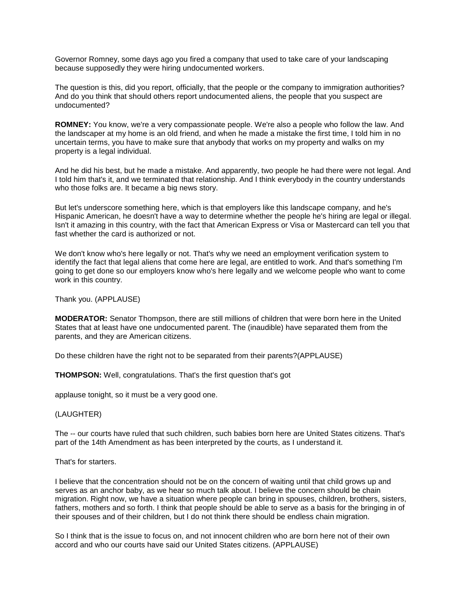Governor Romney, some days ago you fired a company that used to take care of your landscaping because supposedly they were hiring undocumented workers.

The question is this, did you report, officially, that the people or the company to immigration authorities? And do you think that should others report undocumented aliens, the people that you suspect are undocumented?

**ROMNEY:** You know, we're a very compassionate people. We're also a people who follow the law. And the landscaper at my home is an old friend, and when he made a mistake the first time, I told him in no uncertain terms, you have to make sure that anybody that works on my property and walks on my property is a legal individual.

And he did his best, but he made a mistake. And apparently, two people he had there were not legal. And I told him that's it, and we terminated that relationship. And I think everybody in the country understands who those folks are. It became a big news story.

But let's underscore something here, which is that employers like this landscape company, and he's Hispanic American, he doesn't have a way to determine whether the people he's hiring are legal or illegal. Isn't it amazing in this country, with the fact that American Express or Visa or Mastercard can tell you that fast whether the card is authorized or not.

We don't know who's here legally or not. That's why we need an employment verification system to identify the fact that legal aliens that come here are legal, are entitled to work. And that's something I'm going to get done so our employers know who's here legally and we welcome people who want to come work in this country.

Thank you. (APPLAUSE)

**MODERATOR:** Senator Thompson, there are still millions of children that were born here in the United States that at least have one undocumented parent. The (inaudible) have separated them from the parents, and they are American citizens.

Do these children have the right not to be separated from their parents?(APPLAUSE)

**THOMPSON:** Well, congratulations. That's the first question that's got

applause tonight, so it must be a very good one.

(LAUGHTER)

The -- our courts have ruled that such children, such babies born here are United States citizens. That's part of the 14th Amendment as has been interpreted by the courts, as I understand it.

That's for starters.

I believe that the concentration should not be on the concern of waiting until that child grows up and serves as an anchor baby, as we hear so much talk about. I believe the concern should be chain migration. Right now, we have a situation where people can bring in spouses, children, brothers, sisters, fathers, mothers and so forth. I think that people should be able to serve as a basis for the bringing in of their spouses and of their children, but I do not think there should be endless chain migration.

So I think that is the issue to focus on, and not innocent children who are born here not of their own accord and who our courts have said our United States citizens. (APPLAUSE)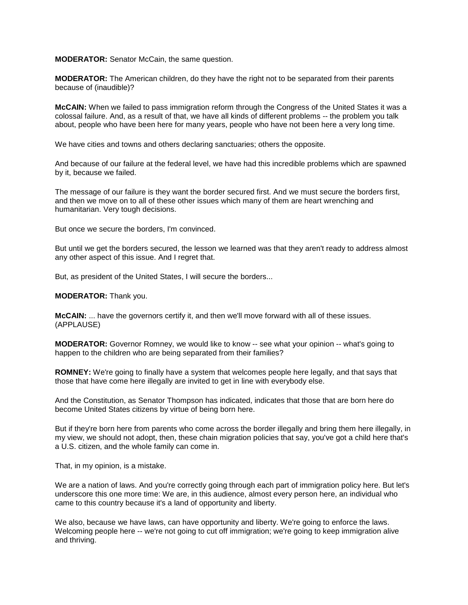**MODERATOR:** Senator McCain, the same question.

**MODERATOR:** The American children, do they have the right not to be separated from their parents because of (inaudible)?

**McCAIN:** When we failed to pass immigration reform through the Congress of the United States it was a colossal failure. And, as a result of that, we have all kinds of different problems -- the problem you talk about, people who have been here for many years, people who have not been here a very long time.

We have cities and towns and others declaring sanctuaries; others the opposite.

And because of our failure at the federal level, we have had this incredible problems which are spawned by it, because we failed.

The message of our failure is they want the border secured first. And we must secure the borders first, and then we move on to all of these other issues which many of them are heart wrenching and humanitarian. Very tough decisions.

But once we secure the borders, I'm convinced.

But until we get the borders secured, the lesson we learned was that they aren't ready to address almost any other aspect of this issue. And I regret that.

But, as president of the United States, I will secure the borders...

**MODERATOR:** Thank you.

**McCAIN:** ... have the governors certify it, and then we'll move forward with all of these issues. (APPLAUSE)

**MODERATOR:** Governor Romney, we would like to know -- see what your opinion -- what's going to happen to the children who are being separated from their families?

**ROMNEY:** We're going to finally have a system that welcomes people here legally, and that says that those that have come here illegally are invited to get in line with everybody else.

And the Constitution, as Senator Thompson has indicated, indicates that those that are born here do become United States citizens by virtue of being born here.

But if they're born here from parents who come across the border illegally and bring them here illegally, in my view, we should not adopt, then, these chain migration policies that say, you've got a child here that's a U.S. citizen, and the whole family can come in.

That, in my opinion, is a mistake.

We are a nation of laws. And you're correctly going through each part of immigration policy here. But let's underscore this one more time: We are, in this audience, almost every person here, an individual who came to this country because it's a land of opportunity and liberty.

We also, because we have laws, can have opportunity and liberty. We're going to enforce the laws. Welcoming people here -- we're not going to cut off immigration; we're going to keep immigration alive and thriving.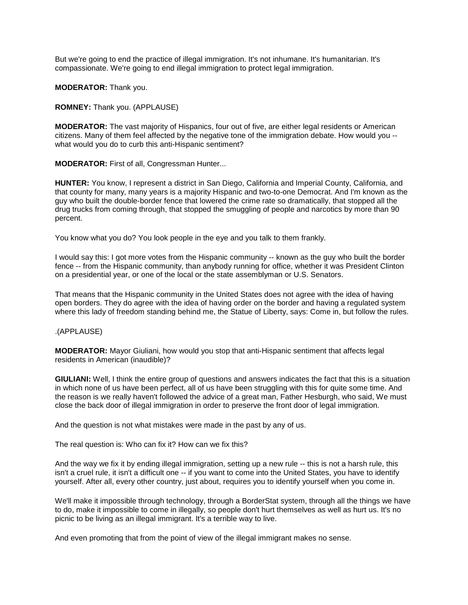But we're going to end the practice of illegal immigration. It's not inhumane. It's humanitarian. It's compassionate. We're going to end illegal immigration to protect legal immigration.

**MODERATOR:** Thank you.

**ROMNEY:** Thank you. (APPLAUSE)

**MODERATOR:** The vast majority of Hispanics, four out of five, are either legal residents or American citizens. Many of them feel affected by the negative tone of the immigration debate. How would you - what would you do to curb this anti-Hispanic sentiment?

**MODERATOR:** First of all, Congressman Hunter...

**HUNTER:** You know, I represent a district in San Diego, California and Imperial County, California, and that county for many, many years is a majority Hispanic and two-to-one Democrat. And I'm known as the guy who built the double-border fence that lowered the crime rate so dramatically, that stopped all the drug trucks from coming through, that stopped the smuggling of people and narcotics by more than 90 percent.

You know what you do? You look people in the eye and you talk to them frankly.

I would say this: I got more votes from the Hispanic community -- known as the guy who built the border fence -- from the Hispanic community, than anybody running for office, whether it was President Clinton on a presidential year, or one of the local or the state assemblyman or U.S. Senators.

That means that the Hispanic community in the United States does not agree with the idea of having open borders. They do agree with the idea of having order on the border and having a regulated system where this lady of freedom standing behind me, the Statue of Liberty, says: Come in, but follow the rules.

.(APPLAUSE)

**MODERATOR:** Mayor Giuliani, how would you stop that anti-Hispanic sentiment that affects legal residents in American (inaudible)?

**GIULIANI:** Well, I think the entire group of questions and answers indicates the fact that this is a situation in which none of us have been perfect, all of us have been struggling with this for quite some time. And the reason is we really haven't followed the advice of a great man, Father Hesburgh, who said, We must close the back door of illegal immigration in order to preserve the front door of legal immigration.

And the question is not what mistakes were made in the past by any of us.

The real question is: Who can fix it? How can we fix this?

And the way we fix it by ending illegal immigration, setting up a new rule -- this is not a harsh rule, this isn't a cruel rule, it isn't a difficult one -- if you want to come into the United States, you have to identify yourself. After all, every other country, just about, requires you to identify yourself when you come in.

We'll make it impossible through technology, through a BorderStat system, through all the things we have to do, make it impossible to come in illegally, so people don't hurt themselves as well as hurt us. It's no picnic to be living as an illegal immigrant. It's a terrible way to live.

And even promoting that from the point of view of the illegal immigrant makes no sense.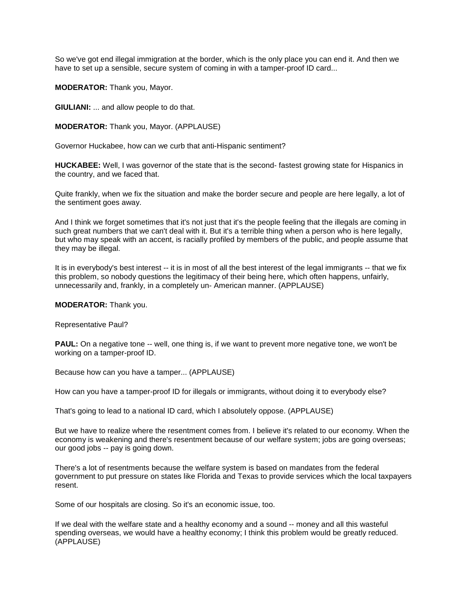So we've got end illegal immigration at the border, which is the only place you can end it. And then we have to set up a sensible, secure system of coming in with a tamper-proof ID card...

**MODERATOR:** Thank you, Mayor.

**GIULIANI:** ... and allow people to do that.

**MODERATOR:** Thank you, Mayor. (APPLAUSE)

Governor Huckabee, how can we curb that anti-Hispanic sentiment?

**HUCKABEE:** Well, I was governor of the state that is the second- fastest growing state for Hispanics in the country, and we faced that.

Quite frankly, when we fix the situation and make the border secure and people are here legally, a lot of the sentiment goes away.

And I think we forget sometimes that it's not just that it's the people feeling that the illegals are coming in such great numbers that we can't deal with it. But it's a terrible thing when a person who is here legally, but who may speak with an accent, is racially profiled by members of the public, and people assume that they may be illegal.

It is in everybody's best interest -- it is in most of all the best interest of the legal immigrants -- that we fix this problem, so nobody questions the legitimacy of their being here, which often happens, unfairly, unnecessarily and, frankly, in a completely un- American manner. (APPLAUSE)

**MODERATOR:** Thank you.

Representative Paul?

**PAUL:** On a negative tone -- well, one thing is, if we want to prevent more negative tone, we won't be working on a tamper-proof ID.

Because how can you have a tamper... (APPLAUSE)

How can you have a tamper-proof ID for illegals or immigrants, without doing it to everybody else?

That's going to lead to a national ID card, which I absolutely oppose. (APPLAUSE)

But we have to realize where the resentment comes from. I believe it's related to our economy. When the economy is weakening and there's resentment because of our welfare system; jobs are going overseas; our good jobs -- pay is going down.

There's a lot of resentments because the welfare system is based on mandates from the federal government to put pressure on states like Florida and Texas to provide services which the local taxpayers resent.

Some of our hospitals are closing. So it's an economic issue, too.

If we deal with the welfare state and a healthy economy and a sound -- money and all this wasteful spending overseas, we would have a healthy economy; I think this problem would be greatly reduced. (APPLAUSE)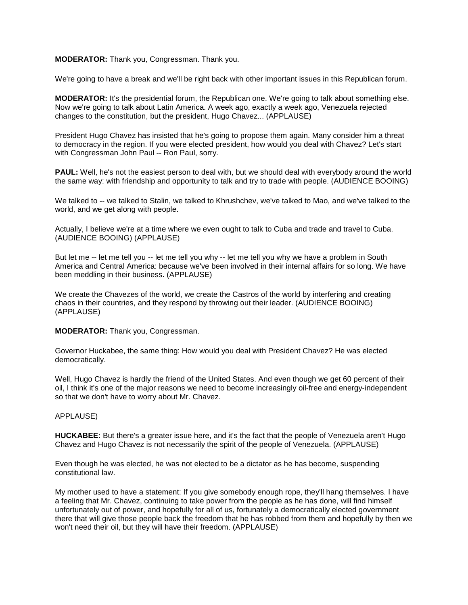# **MODERATOR:** Thank you, Congressman. Thank you.

We're going to have a break and we'll be right back with other important issues in this Republican forum.

**MODERATOR:** It's the presidential forum, the Republican one. We're going to talk about something else. Now we're going to talk about Latin America. A week ago, exactly a week ago, Venezuela rejected changes to the constitution, but the president, Hugo Chavez... (APPLAUSE)

President Hugo Chavez has insisted that he's going to propose them again. Many consider him a threat to democracy in the region. If you were elected president, how would you deal with Chavez? Let's start with Congressman John Paul -- Ron Paul, sorry.

**PAUL:** Well, he's not the easiest person to deal with, but we should deal with everybody around the world the same way: with friendship and opportunity to talk and try to trade with people. (AUDIENCE BOOING)

We talked to -- we talked to Stalin, we talked to Khrushchev, we've talked to Mao, and we've talked to the world, and we get along with people.

Actually, I believe we're at a time where we even ought to talk to Cuba and trade and travel to Cuba. (AUDIENCE BOOING) (APPLAUSE)

But let me -- let me tell you -- let me tell you why -- let me tell you why we have a problem in South America and Central America: because we've been involved in their internal affairs for so long. We have been meddling in their business. (APPLAUSE)

We create the Chavezes of the world, we create the Castros of the world by interfering and creating chaos in their countries, and they respond by throwing out their leader. (AUDIENCE BOOING) (APPLAUSE)

**MODERATOR:** Thank you, Congressman.

Governor Huckabee, the same thing: How would you deal with President Chavez? He was elected democratically.

Well, Hugo Chavez is hardly the friend of the United States. And even though we get 60 percent of their oil, I think it's one of the major reasons we need to become increasingly oil-free and energy-independent so that we don't have to worry about Mr. Chavez.

# APPLAUSE)

**HUCKABEE:** But there's a greater issue here, and it's the fact that the people of Venezuela aren't Hugo Chavez and Hugo Chavez is not necessarily the spirit of the people of Venezuela. (APPLAUSE)

Even though he was elected, he was not elected to be a dictator as he has become, suspending constitutional law.

My mother used to have a statement: If you give somebody enough rope, they'll hang themselves. I have a feeling that Mr. Chavez, continuing to take power from the people as he has done, will find himself unfortunately out of power, and hopefully for all of us, fortunately a democratically elected government there that will give those people back the freedom that he has robbed from them and hopefully by then we won't need their oil, but they will have their freedom. (APPLAUSE)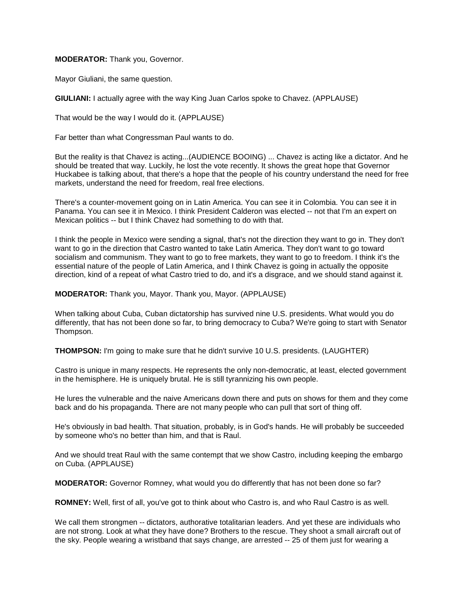**MODERATOR:** Thank you, Governor.

Mayor Giuliani, the same question.

**GIULIANI:** I actually agree with the way King Juan Carlos spoke to Chavez. (APPLAUSE)

That would be the way I would do it. (APPLAUSE)

Far better than what Congressman Paul wants to do.

But the reality is that Chavez is acting...(AUDIENCE BOOING) ... Chavez is acting like a dictator. And he should be treated that way. Luckily, he lost the vote recently. It shows the great hope that Governor Huckabee is talking about, that there's a hope that the people of his country understand the need for free markets, understand the need for freedom, real free elections.

There's a counter-movement going on in Latin America. You can see it in Colombia. You can see it in Panama. You can see it in Mexico. I think President Calderon was elected -- not that I'm an expert on Mexican politics -- but I think Chavez had something to do with that.

I think the people in Mexico were sending a signal, that's not the direction they want to go in. They don't want to go in the direction that Castro wanted to take Latin America. They don't want to go toward socialism and communism. They want to go to free markets, they want to go to freedom. I think it's the essential nature of the people of Latin America, and I think Chavez is going in actually the opposite direction, kind of a repeat of what Castro tried to do, and it's a disgrace, and we should stand against it.

**MODERATOR:** Thank you, Mayor. Thank you, Mayor. (APPLAUSE)

When talking about Cuba, Cuban dictatorship has survived nine U.S. presidents. What would you do differently, that has not been done so far, to bring democracy to Cuba? We're going to start with Senator Thompson.

**THOMPSON:** I'm going to make sure that he didn't survive 10 U.S. presidents. (LAUGHTER)

Castro is unique in many respects. He represents the only non-democratic, at least, elected government in the hemisphere. He is uniquely brutal. He is still tyrannizing his own people.

He lures the vulnerable and the naive Americans down there and puts on shows for them and they come back and do his propaganda. There are not many people who can pull that sort of thing off.

He's obviously in bad health. That situation, probably, is in God's hands. He will probably be succeeded by someone who's no better than him, and that is Raul.

And we should treat Raul with the same contempt that we show Castro, including keeping the embargo on Cuba. (APPLAUSE)

**MODERATOR:** Governor Romney, what would you do differently that has not been done so far?

**ROMNEY:** Well, first of all, you've got to think about who Castro is, and who Raul Castro is as well.

We call them strongmen -- dictators, authorative totalitarian leaders. And yet these are individuals who are not strong. Look at what they have done? Brothers to the rescue. They shoot a small aircraft out of the sky. People wearing a wristband that says change, are arrested -- 25 of them just for wearing a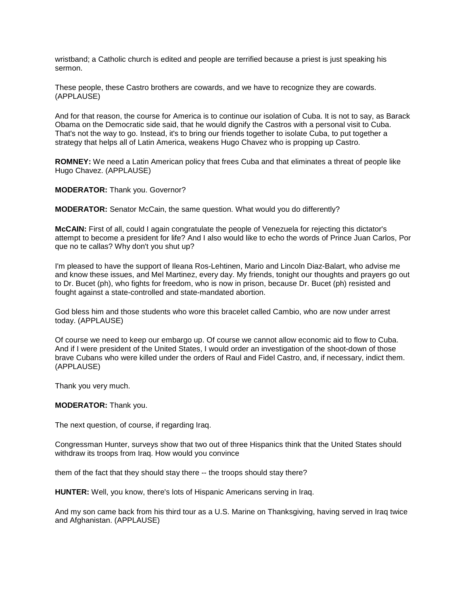wristband; a Catholic church is edited and people are terrified because a priest is just speaking his sermon.

These people, these Castro brothers are cowards, and we have to recognize they are cowards. (APPLAUSE)

And for that reason, the course for America is to continue our isolation of Cuba. It is not to say, as Barack Obama on the Democratic side said, that he would dignify the Castros with a personal visit to Cuba. That's not the way to go. Instead, it's to bring our friends together to isolate Cuba, to put together a strategy that helps all of Latin America, weakens Hugo Chavez who is propping up Castro.

**ROMNEY:** We need a Latin American policy that frees Cuba and that eliminates a threat of people like Hugo Chavez. (APPLAUSE)

**MODERATOR:** Thank you. Governor?

**MODERATOR:** Senator McCain, the same question. What would you do differently?

**McCAIN:** First of all, could I again congratulate the people of Venezuela for rejecting this dictator's attempt to become a president for life? And I also would like to echo the words of Prince Juan Carlos, Por que no te callas? Why don't you shut up?

I'm pleased to have the support of Ileana Ros-Lehtinen, Mario and Lincoln Diaz-Balart, who advise me and know these issues, and Mel Martinez, every day. My friends, tonight our thoughts and prayers go out to Dr. Bucet (ph), who fights for freedom, who is now in prison, because Dr. Bucet (ph) resisted and fought against a state-controlled and state-mandated abortion.

God bless him and those students who wore this bracelet called Cambio, who are now under arrest today. (APPLAUSE)

Of course we need to keep our embargo up. Of course we cannot allow economic aid to flow to Cuba. And if I were president of the United States, I would order an investigation of the shoot-down of those brave Cubans who were killed under the orders of Raul and Fidel Castro, and, if necessary, indict them. (APPLAUSE)

Thank you very much.

**MODERATOR:** Thank you.

The next question, of course, if regarding Iraq.

Congressman Hunter, surveys show that two out of three Hispanics think that the United States should withdraw its troops from Iraq. How would you convince

them of the fact that they should stay there -- the troops should stay there?

**HUNTER:** Well, you know, there's lots of Hispanic Americans serving in Iraq.

And my son came back from his third tour as a U.S. Marine on Thanksgiving, having served in Iraq twice and Afghanistan. (APPLAUSE)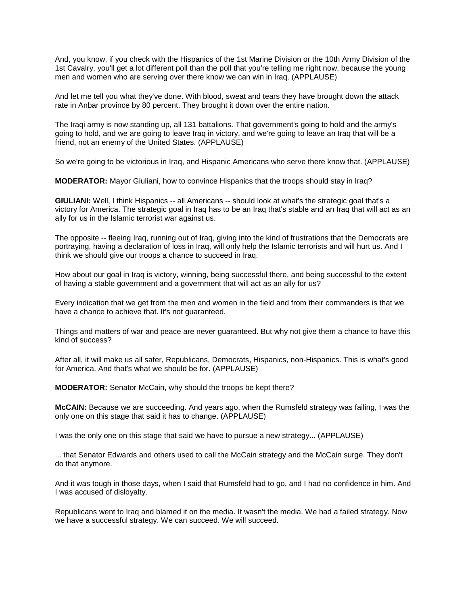And, you know, if you check with the Hispanics of the 1st Marine Division or the 10th Army Division of the 1st Cavalry, you'll get a lot different poll than the poll that you're telling me right now, because the young men and women who are serving over there know we can win in Iraq. (APPLAUSE)

And let me tell you what they've done. With blood, sweat and tears they have brought down the attack rate in Anbar province by 80 percent. They brought it down over the entire nation.

The Iraqi army is now standing up, all 131 battalions. That government's going to hold and the army's going to hold, and we are going to leave Iraq in victory, and we're going to leave an Iraq that will be a friend, not an enemy of the United States. (APPLAUSE)

So we're going to be victorious in Iraq, and Hispanic Americans who serve there know that. (APPLAUSE)

**MODERATOR:** Mayor Giuliani, how to convince Hispanics that the troops should stay in Iraq?

**GIULIANI:** Well, I think Hispanics -- all Americans -- should look at what's the strategic goal that's a victory for America. The strategic goal in Iraq has to be an Iraq that's stable and an Iraq that will act as an ally for us in the Islamic terrorist war against us.

The opposite -- fleeing Iraq, running out of Iraq, giving into the kind of frustrations that the Democrats are portraying, having a declaration of loss in Iraq, will only help the Islamic terrorists and will hurt us. And I think we should give our troops a chance to succeed in Iraq.

How about our goal in Iraq is victory, winning, being successful there, and being successful to the extent of having a stable government and a government that will act as an ally for us?

Every indication that we get from the men and women in the field and from their commanders is that we have a chance to achieve that. It's not guaranteed.

Things and matters of war and peace are never guaranteed. But why not give them a chance to have this kind of success?

After all, it will make us all safer, Republicans, Democrats, Hispanics, non-Hispanics. This is what's good for America. And that's what we should be for. (APPLAUSE)

**MODERATOR:** Senator McCain, why should the troops be kept there?

**McCAIN:** Because we are succeeding. And years ago, when the Rumsfeld strategy was failing, I was the only one on this stage that said it has to change. (APPLAUSE)

I was the only one on this stage that said we have to pursue a new strategy... (APPLAUSE)

... that Senator Edwards and others used to call the McCain strategy and the McCain surge. They don't do that anymore.

And it was tough in those days, when I said that Rumsfeld had to go, and I had no confidence in him. And I was accused of disloyalty.

Republicans went to Iraq and blamed it on the media. It wasn't the media. We had a failed strategy. Now we have a successful strategy. We can succeed. We will succeed.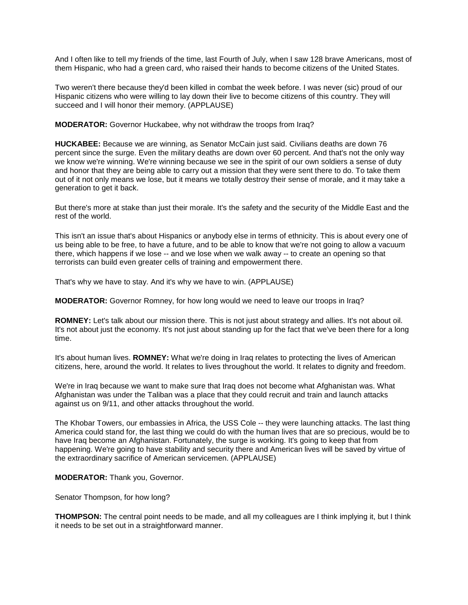And I often like to tell my friends of the time, last Fourth of July, when I saw 128 brave Americans, most of them Hispanic, who had a green card, who raised their hands to become citizens of the United States.

Two weren't there because they'd been killed in combat the week before. I was never (sic) proud of our Hispanic citizens who were willing to lay down their live to become citizens of this country. They will succeed and I will honor their memory. (APPLAUSE)

**MODERATOR:** Governor Huckabee, why not withdraw the troops from Iraq?

**HUCKABEE:** Because we are winning, as Senator McCain just said. Civilians deaths are down 76 percent since the surge. Even the military deaths are down over 60 percent. And that's not the only way we know we're winning. We're winning because we see in the spirit of our own soldiers a sense of duty and honor that they are being able to carry out a mission that they were sent there to do. To take them out of it not only means we lose, but it means we totally destroy their sense of morale, and it may take a generation to get it back.

But there's more at stake than just their morale. It's the safety and the security of the Middle East and the rest of the world.

This isn't an issue that's about Hispanics or anybody else in terms of ethnicity. This is about every one of us being able to be free, to have a future, and to be able to know that we're not going to allow a vacuum there, which happens if we lose -- and we lose when we walk away -- to create an opening so that terrorists can build even greater cells of training and empowerment there.

That's why we have to stay. And it's why we have to win. (APPLAUSE)

**MODERATOR:** Governor Romney, for how long would we need to leave our troops in Iraq?

**ROMNEY:** Let's talk about our mission there. This is not just about strategy and allies. It's not about oil. It's not about just the economy. It's not just about standing up for the fact that we've been there for a long time.

It's about human lives. **ROMNEY:** What we're doing in Iraq relates to protecting the lives of American citizens, here, around the world. It relates to lives throughout the world. It relates to dignity and freedom.

We're in Iraq because we want to make sure that Iraq does not become what Afghanistan was. What Afghanistan was under the Taliban was a place that they could recruit and train and launch attacks against us on 9/11, and other attacks throughout the world.

The Khobar Towers, our embassies in Africa, the USS Cole -- they were launching attacks. The last thing America could stand for, the last thing we could do with the human lives that are so precious, would be to have Iraq become an Afghanistan. Fortunately, the surge is working. It's going to keep that from happening. We're going to have stability and security there and American lives will be saved by virtue of the extraordinary sacrifice of American servicemen. (APPLAUSE)

**MODERATOR:** Thank you, Governor.

Senator Thompson, for how long?

**THOMPSON:** The central point needs to be made, and all my colleagues are I think implying it, but I think it needs to be set out in a straightforward manner.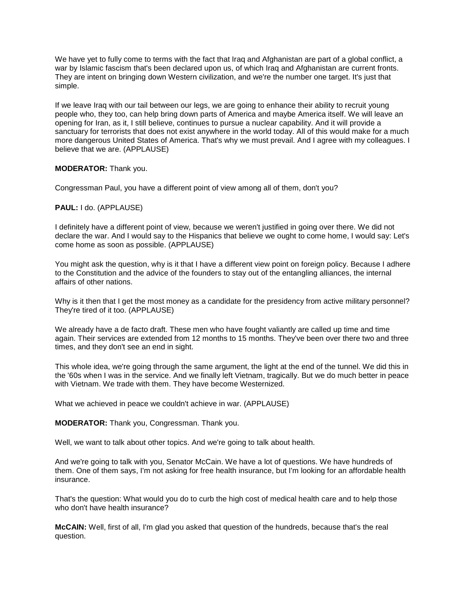We have yet to fully come to terms with the fact that Iraq and Afghanistan are part of a global conflict, a war by Islamic fascism that's been declared upon us, of which Iraq and Afghanistan are current fronts. They are intent on bringing down Western civilization, and we're the number one target. It's just that simple.

If we leave Iraq with our tail between our legs, we are going to enhance their ability to recruit young people who, they too, can help bring down parts of America and maybe America itself. We will leave an opening for Iran, as it, I still believe, continues to pursue a nuclear capability. And it will provide a sanctuary for terrorists that does not exist anywhere in the world today. All of this would make for a much more dangerous United States of America. That's why we must prevail. And I agree with my colleagues. I believe that we are. (APPLAUSE)

# **MODERATOR:** Thank you.

Congressman Paul, you have a different point of view among all of them, don't you?

#### **PAUL:** I do. (APPLAUSE)

I definitely have a different point of view, because we weren't justified in going over there. We did not declare the war. And I would say to the Hispanics that believe we ought to come home, I would say: Let's come home as soon as possible. (APPLAUSE)

You might ask the question, why is it that I have a different view point on foreign policy. Because I adhere to the Constitution and the advice of the founders to stay out of the entangling alliances, the internal affairs of other nations.

Why is it then that I get the most money as a candidate for the presidency from active military personnel? They're tired of it too. (APPLAUSE)

We already have a de facto draft. These men who have fought valiantly are called up time and time again. Their services are extended from 12 months to 15 months. They've been over there two and three times, and they don't see an end in sight.

This whole idea, we're going through the same argument, the light at the end of the tunnel. We did this in the '60s when I was in the service. And we finally left Vietnam, tragically. But we do much better in peace with Vietnam. We trade with them. They have become Westernized.

What we achieved in peace we couldn't achieve in war. (APPLAUSE)

**MODERATOR:** Thank you, Congressman. Thank you.

Well, we want to talk about other topics. And we're going to talk about health.

And we're going to talk with you, Senator McCain. We have a lot of questions. We have hundreds of them. One of them says, I'm not asking for free health insurance, but I'm looking for an affordable health insurance.

That's the question: What would you do to curb the high cost of medical health care and to help those who don't have health insurance?

**McCAIN:** Well, first of all, I'm glad you asked that question of the hundreds, because that's the real question.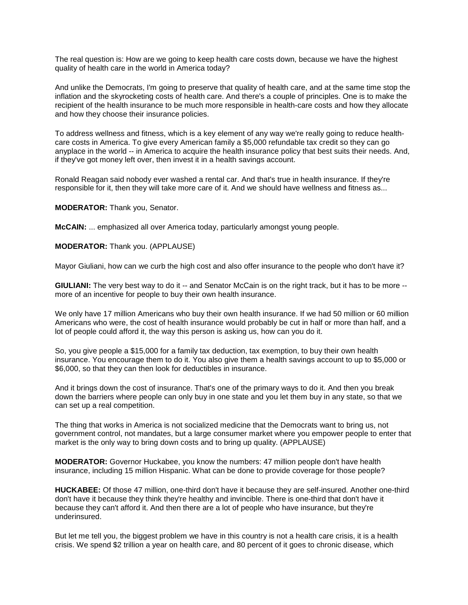The real question is: How are we going to keep health care costs down, because we have the highest quality of health care in the world in America today?

And unlike the Democrats, I'm going to preserve that quality of health care, and at the same time stop the inflation and the skyrocketing costs of health care. And there's a couple of principles. One is to make the recipient of the health insurance to be much more responsible in health-care costs and how they allocate and how they choose their insurance policies.

To address wellness and fitness, which is a key element of any way we're really going to reduce healthcare costs in America. To give every American family a \$5,000 refundable tax credit so they can go anyplace in the world -- in America to acquire the health insurance policy that best suits their needs. And, if they've got money left over, then invest it in a health savings account.

Ronald Reagan said nobody ever washed a rental car. And that's true in health insurance. If they're responsible for it, then they will take more care of it. And we should have wellness and fitness as...

**MODERATOR:** Thank you, Senator.

**McCAIN:** ... emphasized all over America today, particularly amongst young people.

**MODERATOR:** Thank you. (APPLAUSE)

Mayor Giuliani, how can we curb the high cost and also offer insurance to the people who don't have it?

**GIULIANI:** The very best way to do it -- and Senator McCain is on the right track, but it has to be more -more of an incentive for people to buy their own health insurance.

We only have 17 million Americans who buy their own health insurance. If we had 50 million or 60 million Americans who were, the cost of health insurance would probably be cut in half or more than half, and a lot of people could afford it, the way this person is asking us, how can you do it.

So, you give people a \$15,000 for a family tax deduction, tax exemption, to buy their own health insurance. You encourage them to do it. You also give them a health savings account to up to \$5,000 or \$6,000, so that they can then look for deductibles in insurance.

And it brings down the cost of insurance. That's one of the primary ways to do it. And then you break down the barriers where people can only buy in one state and you let them buy in any state, so that we can set up a real competition.

The thing that works in America is not socialized medicine that the Democrats want to bring us, not government control, not mandates, but a large consumer market where you empower people to enter that market is the only way to bring down costs and to bring up quality. (APPLAUSE)

**MODERATOR:** Governor Huckabee, you know the numbers: 47 million people don't have health insurance, including 15 million Hispanic. What can be done to provide coverage for those people?

**HUCKABEE:** Of those 47 million, one-third don't have it because they are self-insured. Another one-third don't have it because they think they're healthy and invincible. There is one-third that don't have it because they can't afford it. And then there are a lot of people who have insurance, but they're underinsured.

But let me tell you, the biggest problem we have in this country is not a health care crisis, it is a health crisis. We spend \$2 trillion a year on health care, and 80 percent of it goes to chronic disease, which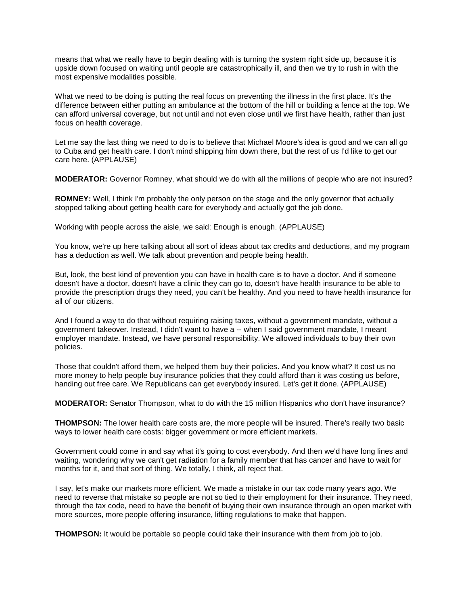means that what we really have to begin dealing with is turning the system right side up, because it is upside down focused on waiting until people are catastrophically ill, and then we try to rush in with the most expensive modalities possible.

What we need to be doing is putting the real focus on preventing the illness in the first place. It's the difference between either putting an ambulance at the bottom of the hill or building a fence at the top. We can afford universal coverage, but not until and not even close until we first have health, rather than just focus on health coverage.

Let me say the last thing we need to do is to believe that Michael Moore's idea is good and we can all go to Cuba and get health care. I don't mind shipping him down there, but the rest of us I'd like to get our care here. (APPLAUSE)

**MODERATOR:** Governor Romney, what should we do with all the millions of people who are not insured?

**ROMNEY:** Well, I think I'm probably the only person on the stage and the only governor that actually stopped talking about getting health care for everybody and actually got the job done.

Working with people across the aisle, we said: Enough is enough. (APPLAUSE)

You know, we're up here talking about all sort of ideas about tax credits and deductions, and my program has a deduction as well. We talk about prevention and people being health.

But, look, the best kind of prevention you can have in health care is to have a doctor. And if someone doesn't have a doctor, doesn't have a clinic they can go to, doesn't have health insurance to be able to provide the prescription drugs they need, you can't be healthy. And you need to have health insurance for all of our citizens.

And I found a way to do that without requiring raising taxes, without a government mandate, without a government takeover. Instead, I didn't want to have a -- when I said government mandate, I meant employer mandate. Instead, we have personal responsibility. We allowed individuals to buy their own policies.

Those that couldn't afford them, we helped them buy their policies. And you know what? It cost us no more money to help people buy insurance policies that they could afford than it was costing us before, handing out free care. We Republicans can get everybody insured. Let's get it done. (APPLAUSE)

**MODERATOR:** Senator Thompson, what to do with the 15 million Hispanics who don't have insurance?

**THOMPSON:** The lower health care costs are, the more people will be insured. There's really two basic ways to lower health care costs: bigger government or more efficient markets.

Government could come in and say what it's going to cost everybody. And then we'd have long lines and waiting, wondering why we can't get radiation for a family member that has cancer and have to wait for months for it, and that sort of thing. We totally, I think, all reject that.

I say, let's make our markets more efficient. We made a mistake in our tax code many years ago. We need to reverse that mistake so people are not so tied to their employment for their insurance. They need, through the tax code, need to have the benefit of buying their own insurance through an open market with more sources, more people offering insurance, lifting regulations to make that happen.

**THOMPSON:** It would be portable so people could take their insurance with them from job to job.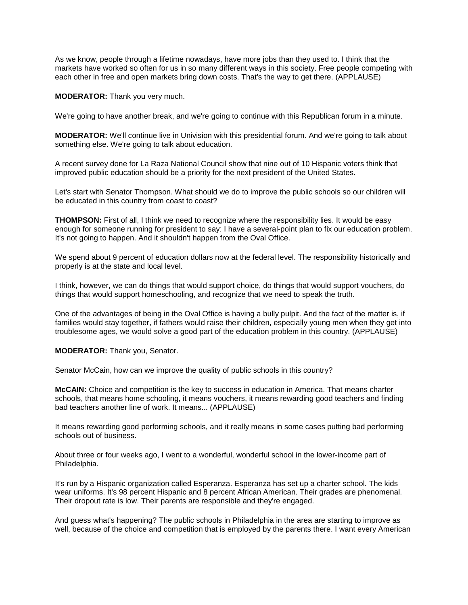As we know, people through a lifetime nowadays, have more jobs than they used to. I think that the markets have worked so often for us in so many different ways in this society. Free people competing with each other in free and open markets bring down costs. That's the way to get there. (APPLAUSE)

**MODERATOR:** Thank you very much.

We're going to have another break, and we're going to continue with this Republican forum in a minute.

**MODERATOR:** We'll continue live in Univision with this presidential forum. And we're going to talk about something else. We're going to talk about education.

A recent survey done for La Raza National Council show that nine out of 10 Hispanic voters think that improved public education should be a priority for the next president of the United States.

Let's start with Senator Thompson. What should we do to improve the public schools so our children will be educated in this country from coast to coast?

**THOMPSON:** First of all, I think we need to recognize where the responsibility lies. It would be easy enough for someone running for president to say: I have a several-point plan to fix our education problem. It's not going to happen. And it shouldn't happen from the Oval Office.

We spend about 9 percent of education dollars now at the federal level. The responsibility historically and properly is at the state and local level.

I think, however, we can do things that would support choice, do things that would support vouchers, do things that would support homeschooling, and recognize that we need to speak the truth.

One of the advantages of being in the Oval Office is having a bully pulpit. And the fact of the matter is, if families would stay together, if fathers would raise their children, especially young men when they get into troublesome ages, we would solve a good part of the education problem in this country. (APPLAUSE)

**MODERATOR:** Thank you, Senator.

Senator McCain, how can we improve the quality of public schools in this country?

**McCAIN:** Choice and competition is the key to success in education in America. That means charter schools, that means home schooling, it means vouchers, it means rewarding good teachers and finding bad teachers another line of work. It means... (APPLAUSE)

It means rewarding good performing schools, and it really means in some cases putting bad performing schools out of business.

About three or four weeks ago, I went to a wonderful, wonderful school in the lower-income part of Philadelphia.

It's run by a Hispanic organization called Esperanza. Esperanza has set up a charter school. The kids wear uniforms. It's 98 percent Hispanic and 8 percent African American. Their grades are phenomenal. Their dropout rate is low. Their parents are responsible and they're engaged.

And guess what's happening? The public schools in Philadelphia in the area are starting to improve as well, because of the choice and competition that is employed by the parents there. I want every American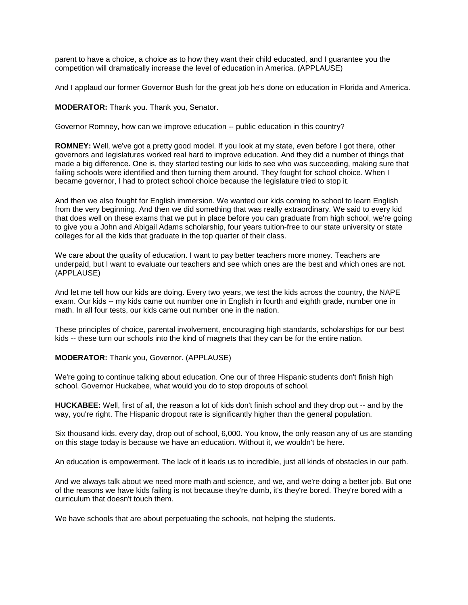parent to have a choice, a choice as to how they want their child educated, and I guarantee you the competition will dramatically increase the level of education in America. (APPLAUSE)

And I applaud our former Governor Bush for the great job he's done on education in Florida and America.

**MODERATOR:** Thank you. Thank you, Senator.

Governor Romney, how can we improve education -- public education in this country?

**ROMNEY:** Well, we've got a pretty good model. If you look at my state, even before I got there, other governors and legislatures worked real hard to improve education. And they did a number of things that made a big difference. One is, they started testing our kids to see who was succeeding, making sure that failing schools were identified and then turning them around. They fought for school choice. When I became governor, I had to protect school choice because the legislature tried to stop it.

And then we also fought for English immersion. We wanted our kids coming to school to learn English from the very beginning. And then we did something that was really extraordinary. We said to every kid that does well on these exams that we put in place before you can graduate from high school, we're going to give you a John and Abigail Adams scholarship, four years tuition-free to our state university or state colleges for all the kids that graduate in the top quarter of their class.

We care about the quality of education. I want to pay better teachers more money. Teachers are underpaid, but I want to evaluate our teachers and see which ones are the best and which ones are not. (APPLAUSE)

And let me tell how our kids are doing. Every two years, we test the kids across the country, the NAPE exam. Our kids -- my kids came out number one in English in fourth and eighth grade, number one in math. In all four tests, our kids came out number one in the nation.

These principles of choice, parental involvement, encouraging high standards, scholarships for our best kids -- these turn our schools into the kind of magnets that they can be for the entire nation.

**MODERATOR:** Thank you, Governor. (APPLAUSE)

We're going to continue talking about education. One our of three Hispanic students don't finish high school. Governor Huckabee, what would you do to stop dropouts of school.

**HUCKABEE:** Well, first of all, the reason a lot of kids don't finish school and they drop out -- and by the way, you're right. The Hispanic dropout rate is significantly higher than the general population.

Six thousand kids, every day, drop out of school, 6,000. You know, the only reason any of us are standing on this stage today is because we have an education. Without it, we wouldn't be here.

An education is empowerment. The lack of it leads us to incredible, just all kinds of obstacles in our path.

And we always talk about we need more math and science, and we, and we're doing a better job. But one of the reasons we have kids failing is not because they're dumb, it's they're bored. They're bored with a curriculum that doesn't touch them.

We have schools that are about perpetuating the schools, not helping the students.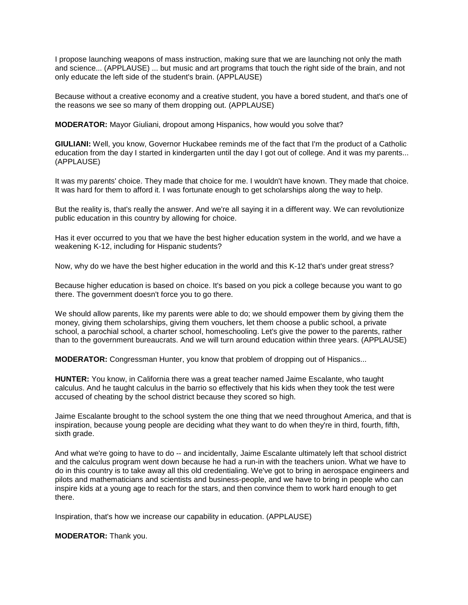I propose launching weapons of mass instruction, making sure that we are launching not only the math and science... (APPLAUSE) ... but music and art programs that touch the right side of the brain, and not only educate the left side of the student's brain. (APPLAUSE)

Because without a creative economy and a creative student, you have a bored student, and that's one of the reasons we see so many of them dropping out. (APPLAUSE)

**MODERATOR:** Mayor Giuliani, dropout among Hispanics, how would you solve that?

**GIULIANI:** Well, you know, Governor Huckabee reminds me of the fact that I'm the product of a Catholic education from the day I started in kindergarten until the day I got out of college. And it was my parents... (APPLAUSE)

It was my parents' choice. They made that choice for me. I wouldn't have known. They made that choice. It was hard for them to afford it. I was fortunate enough to get scholarships along the way to help.

But the reality is, that's really the answer. And we're all saying it in a different way. We can revolutionize public education in this country by allowing for choice.

Has it ever occurred to you that we have the best higher education system in the world, and we have a weakening K-12, including for Hispanic students?

Now, why do we have the best higher education in the world and this K-12 that's under great stress?

Because higher education is based on choice. It's based on you pick a college because you want to go there. The government doesn't force you to go there.

We should allow parents, like my parents were able to do; we should empower them by giving them the money, giving them scholarships, giving them vouchers, let them choose a public school, a private school, a parochial school, a charter school, homeschooling. Let's give the power to the parents, rather than to the government bureaucrats. And we will turn around education within three years. (APPLAUSE)

**MODERATOR:** Congressman Hunter, you know that problem of dropping out of Hispanics...

**HUNTER:** You know, in California there was a great teacher named Jaime Escalante, who taught calculus. And he taught calculus in the barrio so effectively that his kids when they took the test were accused of cheating by the school district because they scored so high.

Jaime Escalante brought to the school system the one thing that we need throughout America, and that is inspiration, because young people are deciding what they want to do when they're in third, fourth, fifth, sixth grade.

And what we're going to have to do -- and incidentally, Jaime Escalante ultimately left that school district and the calculus program went down because he had a run-in with the teachers union. What we have to do in this country is to take away all this old credentialing. We've got to bring in aerospace engineers and pilots and mathematicians and scientists and business-people, and we have to bring in people who can inspire kids at a young age to reach for the stars, and then convince them to work hard enough to get there.

Inspiration, that's how we increase our capability in education. (APPLAUSE)

**MODERATOR:** Thank you.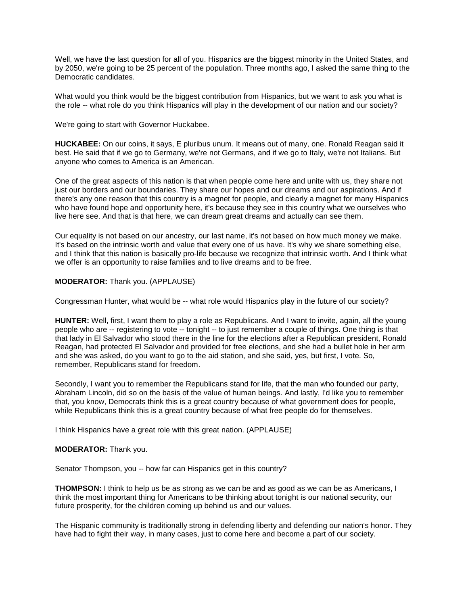Well, we have the last question for all of you. Hispanics are the biggest minority in the United States, and by 2050, we're going to be 25 percent of the population. Three months ago, I asked the same thing to the Democratic candidates.

What would you think would be the biggest contribution from Hispanics, but we want to ask you what is the role -- what role do you think Hispanics will play in the development of our nation and our society?

We're going to start with Governor Huckabee.

**HUCKABEE:** On our coins, it says, E pluribus unum. It means out of many, one. Ronald Reagan said it best. He said that if we go to Germany, we're not Germans, and if we go to Italy, we're not Italians. But anyone who comes to America is an American.

One of the great aspects of this nation is that when people come here and unite with us, they share not just our borders and our boundaries. They share our hopes and our dreams and our aspirations. And if there's any one reason that this country is a magnet for people, and clearly a magnet for many Hispanics who have found hope and opportunity here, it's because they see in this country what we ourselves who live here see. And that is that here, we can dream great dreams and actually can see them.

Our equality is not based on our ancestry, our last name, it's not based on how much money we make. It's based on the intrinsic worth and value that every one of us have. It's why we share something else, and I think that this nation is basically pro-life because we recognize that intrinsic worth. And I think what we offer is an opportunity to raise families and to live dreams and to be free.

# **MODERATOR:** Thank you. (APPLAUSE)

Congressman Hunter, what would be -- what role would Hispanics play in the future of our society?

**HUNTER:** Well, first, I want them to play a role as Republicans. And I want to invite, again, all the young people who are -- registering to vote -- tonight -- to just remember a couple of things. One thing is that that lady in El Salvador who stood there in the line for the elections after a Republican president, Ronald Reagan, had protected El Salvador and provided for free elections, and she had a bullet hole in her arm and she was asked, do you want to go to the aid station, and she said, yes, but first, I vote. So, remember, Republicans stand for freedom.

Secondly, I want you to remember the Republicans stand for life, that the man who founded our party, Abraham Lincoln, did so on the basis of the value of human beings. And lastly, I'd like you to remember that, you know, Democrats think this is a great country because of what government does for people, while Republicans think this is a great country because of what free people do for themselves.

I think Hispanics have a great role with this great nation. (APPLAUSE)

# **MODERATOR:** Thank you.

Senator Thompson, you -- how far can Hispanics get in this country?

**THOMPSON:** I think to help us be as strong as we can be and as good as we can be as Americans, I think the most important thing for Americans to be thinking about tonight is our national security, our future prosperity, for the children coming up behind us and our values.

The Hispanic community is traditionally strong in defending liberty and defending our nation's honor. They have had to fight their way, in many cases, just to come here and become a part of our society.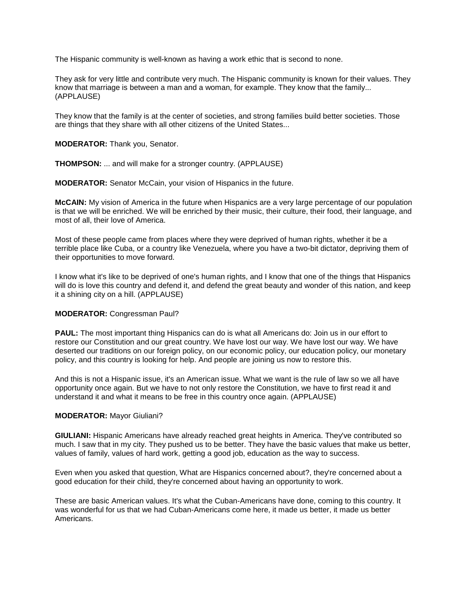The Hispanic community is well-known as having a work ethic that is second to none.

They ask for very little and contribute very much. The Hispanic community is known for their values. They know that marriage is between a man and a woman, for example. They know that the family... (APPLAUSE)

They know that the family is at the center of societies, and strong families build better societies. Those are things that they share with all other citizens of the United States...

**MODERATOR:** Thank you, Senator.

**THOMPSON:** ... and will make for a stronger country. (APPLAUSE)

**MODERATOR:** Senator McCain, your vision of Hispanics in the future.

**McCAIN:** My vision of America in the future when Hispanics are a very large percentage of our population is that we will be enriched. We will be enriched by their music, their culture, their food, their language, and most of all, their love of America.

Most of these people came from places where they were deprived of human rights, whether it be a terrible place like Cuba, or a country like Venezuela, where you have a two-bit dictator, depriving them of their opportunities to move forward.

I know what it's like to be deprived of one's human rights, and I know that one of the things that Hispanics will do is love this country and defend it, and defend the great beauty and wonder of this nation, and keep it a shining city on a hill. (APPLAUSE)

# **MODERATOR:** Congressman Paul?

**PAUL:** The most important thing Hispanics can do is what all Americans do: Join us in our effort to restore our Constitution and our great country. We have lost our way. We have lost our way. We have deserted our traditions on our foreign policy, on our economic policy, our education policy, our monetary policy, and this country is looking for help. And people are joining us now to restore this.

And this is not a Hispanic issue, it's an American issue. What we want is the rule of law so we all have opportunity once again. But we have to not only restore the Constitution, we have to first read it and understand it and what it means to be free in this country once again. (APPLAUSE)

# **MODERATOR:** Mayor Giuliani?

**GIULIANI:** Hispanic Americans have already reached great heights in America. They've contributed so much. I saw that in my city. They pushed us to be better. They have the basic values that make us better, values of family, values of hard work, getting a good job, education as the way to success.

Even when you asked that question, What are Hispanics concerned about?, they're concerned about a good education for their child, they're concerned about having an opportunity to work.

These are basic American values. It's what the Cuban-Americans have done, coming to this country. It was wonderful for us that we had Cuban-Americans come here, it made us better, it made us better Americans.